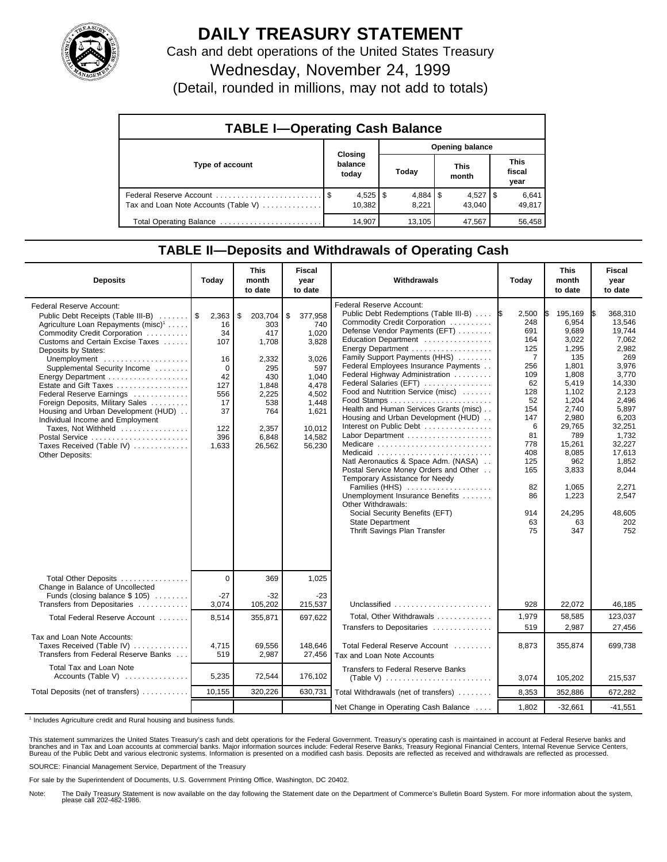

## **DAILY TREASURY STATEMENT**

Cash and debt operations of the United States Treasury

Wednesday, November 24, 1999

(Detail, rounded in millions, may not add to totals)

| <b>TABLE I-Operating Cash Balance</b> |                             |              |                        |  |                        |  |                               |  |  |
|---------------------------------------|-----------------------------|--------------|------------------------|--|------------------------|--|-------------------------------|--|--|
|                                       | Closing<br>balance<br>today |              | <b>Opening balance</b> |  |                        |  |                               |  |  |
| Type of account                       |                             |              | Today                  |  | <b>This</b><br>month   |  | <b>This</b><br>fiscal<br>year |  |  |
| Tax and Loan Note Accounts (Table V)  | 10.382                      | $4,525$   \$ | 8,221                  |  | $4,527$   \$<br>43.040 |  | 6,641<br>49,817               |  |  |
| Total Operating Balance               | 14.907                      |              | 13.105                 |  | 47,567                 |  | 56,458                        |  |  |

## **TABLE II—Deposits and Withdrawals of Operating Cash**

| <b>Deposits</b>                                                                                                                                                                                                                                                                                                                                                                                                                                                                                                                                       | Today                                                                                                | <b>This</b><br>month<br>to date                                                                                         | Fiscal<br>year<br>to date                                                                                                         | Withdrawals                                                                                                                                                                                                                                                                                                                                                                                                                                                                                                                                                                                                                                                                                                                                                                                                   | Today                                                                                                                                                                                 | <b>This</b><br>month<br>to date                                                                                                                                                                                | <b>Fiscal</b><br>year<br>to date                                                                                                                                                                                               |
|-------------------------------------------------------------------------------------------------------------------------------------------------------------------------------------------------------------------------------------------------------------------------------------------------------------------------------------------------------------------------------------------------------------------------------------------------------------------------------------------------------------------------------------------------------|------------------------------------------------------------------------------------------------------|-------------------------------------------------------------------------------------------------------------------------|-----------------------------------------------------------------------------------------------------------------------------------|---------------------------------------------------------------------------------------------------------------------------------------------------------------------------------------------------------------------------------------------------------------------------------------------------------------------------------------------------------------------------------------------------------------------------------------------------------------------------------------------------------------------------------------------------------------------------------------------------------------------------------------------------------------------------------------------------------------------------------------------------------------------------------------------------------------|---------------------------------------------------------------------------------------------------------------------------------------------------------------------------------------|----------------------------------------------------------------------------------------------------------------------------------------------------------------------------------------------------------------|--------------------------------------------------------------------------------------------------------------------------------------------------------------------------------------------------------------------------------|
| <b>Federal Reserve Account:</b><br>Public Debt Receipts (Table III-B)<br>Agriculture Loan Repayments (misc) <sup>1</sup><br>Commodity Credit Corporation<br>Customs and Certain Excise Taxes<br>Deposits by States:<br>Unemployment<br>Supplemental Security Income<br>Energy Department<br>Estate and Gift Taxes<br>Federal Reserve Earnings<br>Foreign Deposits, Military Sales<br>Housing and Urban Development (HUD)<br>Individual Income and Employment<br>Taxes, Not Withheld<br>Postal Service<br>Taxes Received (Table IV)<br>Other Deposits: | 2,363<br>16<br>34<br>107<br>16<br>$\mathbf 0$<br>42<br>127<br>556<br>17<br>37<br>122<br>396<br>1,633 | \$<br>203,704<br>303<br>417<br>1,708<br>2,332<br>295<br>430<br>1,848<br>2,225<br>538<br>764<br>2,357<br>6,848<br>26,562 | \$<br>377,958<br>740<br>1.020<br>3,828<br>3,026<br>597<br>1,040<br>4,478<br>4,502<br>1,448<br>1,621<br>10.012<br>14.582<br>56,230 | Federal Reserve Account:<br>Public Debt Redemptions (Table III-B)<br>Commodity Credit Corporation<br>Defense Vendor Payments (EFT)<br>Education Department<br>Energy Department<br>Family Support Payments (HHS)<br>Federal Employees Insurance Payments<br>Federal Highway Administration<br>Federal Salaries (EFT)<br>Food and Nutrition Service (misc)<br>Health and Human Services Grants (misc)<br>Housing and Urban Development (HUD)<br>Interest on Public Debt<br>Labor Department<br>Medicare<br>Medicaid<br>Natl Aeronautics & Space Adm. (NASA)<br>Postal Service Money Orders and Other<br>Temporary Assistance for Needy<br>Families (HHS)<br>Unemployment Insurance Benefits<br>Other Withdrawals:<br>Social Security Benefits (EFT)<br><b>State Department</b><br>Thrift Savings Plan Transfer | 2,500<br><b>IS</b><br>248<br>691<br>164<br>125<br>$\overline{7}$<br>256<br>109<br>62<br>128<br>52<br>154<br>147<br>6<br>81<br>778<br>408<br>125<br>165<br>82<br>86<br>914<br>63<br>75 | 195,169<br>6,954<br>9,689<br>3,022<br>1,295<br>135<br>1,801<br>1,808<br>5,419<br>1,102<br>1,204<br>2,740<br>2,980<br>29,765<br>789<br>15,261<br>8.085<br>962<br>3,833<br>1,065<br>1,223<br>24,295<br>63<br>347 | 368.310<br>1\$<br>13,546<br>19,744<br>7,062<br>2.982<br>269<br>3,976<br>3,770<br>14,330<br>2,123<br>2,496<br>5,897<br>6,203<br>32,251<br>1,732<br>32,227<br>17.613<br>1,852<br>8,044<br>2,271<br>2,547<br>48,605<br>202<br>752 |
| Total Other Deposits<br>Change in Balance of Uncollected                                                                                                                                                                                                                                                                                                                                                                                                                                                                                              | $\Omega$                                                                                             | 369                                                                                                                     | 1,025                                                                                                                             |                                                                                                                                                                                                                                                                                                                                                                                                                                                                                                                                                                                                                                                                                                                                                                                                               |                                                                                                                                                                                       |                                                                                                                                                                                                                |                                                                                                                                                                                                                                |
| Funds (closing balance $$ 105$ )<br>Transfers from Depositaries                                                                                                                                                                                                                                                                                                                                                                                                                                                                                       | $-27$<br>3,074                                                                                       | $-32$<br>105,202                                                                                                        | $-23$<br>215,537                                                                                                                  | Unclassified                                                                                                                                                                                                                                                                                                                                                                                                                                                                                                                                                                                                                                                                                                                                                                                                  | 928                                                                                                                                                                                   | 22,072                                                                                                                                                                                                         | 46,185                                                                                                                                                                                                                         |
| Total Federal Reserve Account                                                                                                                                                                                                                                                                                                                                                                                                                                                                                                                         | 8,514                                                                                                | 355,871                                                                                                                 | 697,622                                                                                                                           | Total, Other Withdrawals                                                                                                                                                                                                                                                                                                                                                                                                                                                                                                                                                                                                                                                                                                                                                                                      | 1,979                                                                                                                                                                                 | 58,585                                                                                                                                                                                                         | 123,037                                                                                                                                                                                                                        |
| Tax and Loan Note Accounts:<br>Taxes Received (Table IV)<br>Transfers from Federal Reserve Banks                                                                                                                                                                                                                                                                                                                                                                                                                                                      | 4,715<br>519                                                                                         | 69,556<br>2,987                                                                                                         | 148,646<br>27,456                                                                                                                 | Transfers to Depositaries<br>Total Federal Reserve Account<br>Tax and Loan Note Accounts                                                                                                                                                                                                                                                                                                                                                                                                                                                                                                                                                                                                                                                                                                                      | 519<br>8,873                                                                                                                                                                          | 2,987<br>355,874                                                                                                                                                                                               | 27,456<br>699,738                                                                                                                                                                                                              |
| Total Tax and Loan Note<br>Accounts (Table V)                                                                                                                                                                                                                                                                                                                                                                                                                                                                                                         | 5,235                                                                                                | 72,544                                                                                                                  | 176,102                                                                                                                           | Transfers to Federal Reserve Banks                                                                                                                                                                                                                                                                                                                                                                                                                                                                                                                                                                                                                                                                                                                                                                            | 3,074                                                                                                                                                                                 | 105,202                                                                                                                                                                                                        | 215,537                                                                                                                                                                                                                        |
| Total Deposits (net of transfers)                                                                                                                                                                                                                                                                                                                                                                                                                                                                                                                     | 10,155                                                                                               | 320,226                                                                                                                 | 630,731                                                                                                                           | Total Withdrawals (net of transfers)                                                                                                                                                                                                                                                                                                                                                                                                                                                                                                                                                                                                                                                                                                                                                                          | 8,353                                                                                                                                                                                 | 352,886                                                                                                                                                                                                        | 672,282                                                                                                                                                                                                                        |
|                                                                                                                                                                                                                                                                                                                                                                                                                                                                                                                                                       |                                                                                                      |                                                                                                                         |                                                                                                                                   | Net Change in Operating Cash Balance                                                                                                                                                                                                                                                                                                                                                                                                                                                                                                                                                                                                                                                                                                                                                                          | 1,802                                                                                                                                                                                 | $-32,661$                                                                                                                                                                                                      | $-41,551$                                                                                                                                                                                                                      |

<sup>1</sup> Includes Agriculture credit and Rural housing and business funds.

This statement summarizes the United States Treasury's cash and debt operations for the Federal Government. Treasury's operating cash is maintained in account at Federal Reserve banks and<br>branches and in Tax and Loan accou

SOURCE: Financial Management Service, Department of the Treasury

For sale by the Superintendent of Documents, U.S. Government Printing Office, Washington, DC 20402.

Note: The Daily Treasury Statement is now available on the day following the Statement date on the Department of Commerce's Bulletin Board System. For more information about the system, please call 202-482-1986.